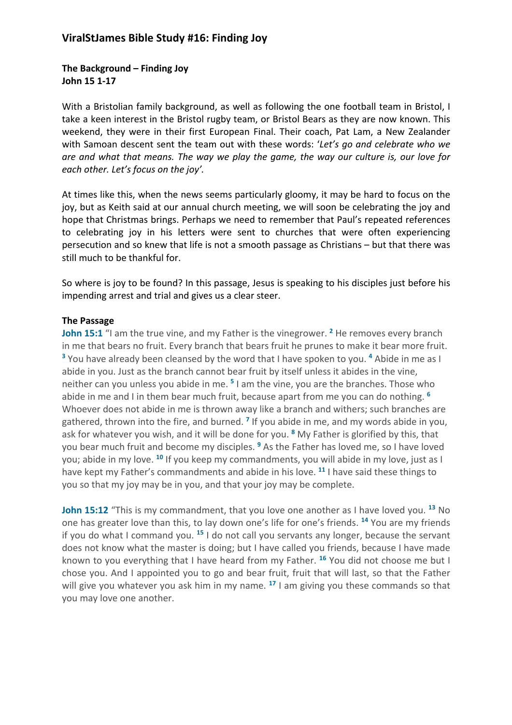## **The Background – Finding Joy John 15 1-17**

With a Bristolian family background, as well as following the one football team in Bristol, I take a keen interest in the Bristol rugby team, or Bristol Bears as they are now known. This weekend, they were in their first European Final. Their coach, Pat Lam, a New Zealander with Samoan descent sent the team out with these words: '*Let's go and celebrate who we are and what that means. The way we play the game, the way our culture is, our love for each other. Let's focus on the joy'.*

At times like this, when the news seems particularly gloomy, it may be hard to focus on the joy, but as Keith said at our annual church meeting, we will soon be celebrating the joy and hope that Christmas brings. Perhaps we need to remember that Paul's repeated references to celebrating joy in his letters were sent to churches that were often experiencing persecution and so knew that life is not a smooth passage as Christians – but that there was still much to be thankful for.

So where is joy to be found? In this passage, Jesus is speaking to his disciples just before his impending arrest and trial and gives us a clear steer.

#### **The Passage**

**John 15:1** "I am the true vine, and my Father is the vinegrower.<sup>2</sup> He removes every branch in me that bears no fruit. Every branch that bears fruit he prunes to make it bear more fruit. **<sup>3</sup>** You have already been cleansed by the word that I have spoken to you. **<sup>4</sup>** Abide in me as I abide in you. Just as the branch cannot bear fruit by itself unless it abides in the vine, neither can you unless you abide in me. **<sup>5</sup>** I am the vine, you are the branches. Those who abide in me and I in them bear much fruit, because apart from me you can do nothing. **<sup>6</sup>** Whoever does not abide in me is thrown away like a branch and withers; such branches are gathered, thrown into the fire, and burned. **<sup>7</sup>** If you abide in me, and my words abide in you, ask for whatever you wish, and it will be done for you. **<sup>8</sup>** My Father is glorified by this, that you bear much fruit and become my disciples. **<sup>9</sup>** As the Father has loved me, so I have loved you; abide in my love. **<sup>10</sup>** If you keep my commandments, you will abide in my love, just as I have kept my Father's commandments and abide in his love. **<sup>11</sup>** I have said these things to you so that my joy may be in you, and that your joy may be complete.

**John 15:12** "This is my commandment, that you love one another as I have loved you.<sup>13</sup> No one has greater love than this, to lay down one's life for one's friends. **<sup>14</sup>** You are my friends if you do what I command you. **<sup>15</sup>** I do not call you servants any longer, because the servant does not know what the master is doing; but I have called you friends, because I have made known to you everything that I have heard from my Father. **<sup>16</sup>** You did not choose me but I chose you. And I appointed you to go and bear fruit, fruit that will last, so that the Father will give you whatever you ask him in my name. **<sup>17</sup>** I am giving you these commands so that you may love one another.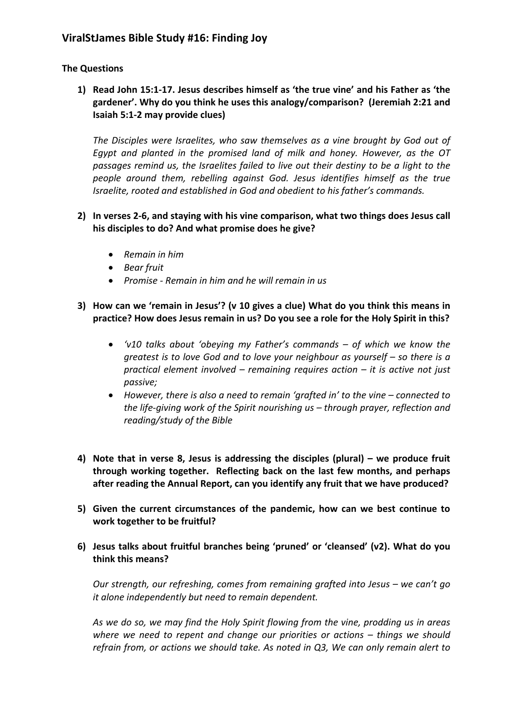## **The Questions**

**1) Read John 15:1-17. Jesus describes himself as 'the true vine' and his Father as 'the gardener'. Why do you think he uses this analogy/comparison? (Jeremiah 2:21 and Isaiah 5:1-2 may provide clues)**

*The Disciples were Israelites, who saw themselves as a vine brought by God out of Egypt and planted in the promised land of milk and honey. However, as the OT passages remind us, the Israelites failed to live out their destiny to be a light to the people around them, rebelling against God. Jesus identifies himself as the true Israelite, rooted and established in God and obedient to his father's commands.*

- **2) In verses 2-6, and staying with his vine comparison, what two things does Jesus call his disciples to do? And what promise does he give?**
	- *Remain in him*
	- *Bear fruit*
	- *Promise - Remain in him and he will remain in us*
- **3) How can we 'remain in Jesus'? (v 10 gives a clue) What do you think this means in practice? How does Jesus remain in us? Do you see a role for the Holy Spirit in this?** 
	- *'v10 talks about 'obeying my Father's commands – of which we know the greatest is to love God and to love your neighbour as yourself – so there is a practical element involved – remaining requires action – it is active not just passive;*
	- *However, there is also a need to remain 'grafted in' to the vine – connected to the life-giving work of the Spirit nourishing us – through prayer, reflection and reading/study of the Bible*
- **4) Note that in verse 8, Jesus is addressing the disciples (plural) – we produce fruit through working together. Reflecting back on the last few months, and perhaps after reading the Annual Report, can you identify any fruit that we have produced?**
- **5) Given the current circumstances of the pandemic, how can we best continue to work together to be fruitful?**
- **6) Jesus talks about fruitful branches being 'pruned' or 'cleansed' (v2). What do you think this means?**

*Our strength, our refreshing, comes from remaining grafted into Jesus – we can't go it alone independently but need to remain dependent.*

*As we do so, we may find the Holy Spirit flowing from the vine, prodding us in areas where we need to repent and change our priorities or actions – things we should refrain from, or actions we should take. As noted in Q3, We can only remain alert to*